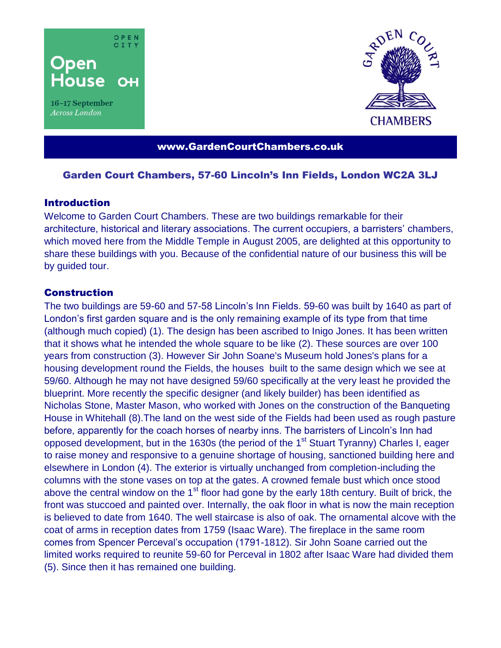

16-17 September Across London



www.GardenCourtChambers.co.uk

## Garden Court Chambers, 57-60 Lincoln's Inn Fields, London WC2A 3LJ

### **Introduction**

Welcome to Garden Court Chambers. These are two buildings remarkable for their architecture, historical and literary associations. The current occupiers, a barristers' chambers, which moved here from the Middle Temple in August 2005, are delighted at this opportunity to share these buildings with you. Because of the confidential nature of our business this will be by guided tour.

# **Construction**

The two buildings are 59-60 and 57-58 Lincoln's Inn Fields. 59-60 was built by 1640 as part of London's first garden square and is the only remaining example of its type from that time (although much copied) (1). The design has been ascribed to Inigo Jones. It has been written that it shows what he intended the whole square to be like (2). These sources are over 100 years from construction (3). However Sir John Soane's Museum hold Jones's plans for a housing development round the Fields, the houses built to the same design which we see at 59/60. Although he may not have designed 59/60 specifically at the very least he provided the blueprint. More recently the specific designer (and likely builder) has been identified as Nicholas Stone, Master Mason, who worked with Jones on the construction of the Banqueting House in Whitehall (8).The land on the west side of the Fields had been used as rough pasture before, apparently for the coach horses of nearby inns. The barristers of Lincoln's Inn had opposed development, but in the 1630s (the period of the 1<sup>st</sup> Stuart Tyranny) Charles I, eager to raise money and responsive to a genuine shortage of housing, sanctioned building here and elsewhere in London (4). The exterior is virtually unchanged from completion-including the columns with the stone vases on top at the gates. A crowned female bust which once stood above the central window on the 1<sup>st</sup> floor had gone by the early 18th century. Built of brick, the front was stuccoed and painted over. Internally, the oak floor in what is now the main reception is believed to date from 1640. The well staircase is also of oak. The ornamental alcove with the coat of arms in reception dates from 1759 (Isaac Ware). The fireplace in the same room comes from Spencer Perceval's occupation (1791-1812). Sir John Soane carried out the limited works required to reunite 59-60 for Perceval in 1802 after Isaac Ware had divided them (5). Since then it has remained one building.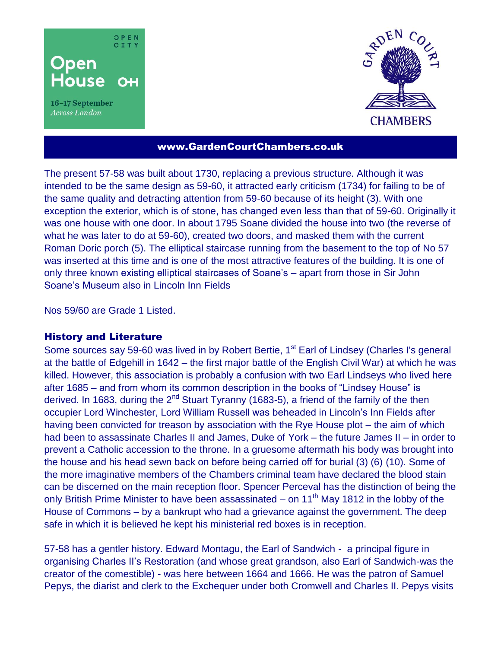

16-17 September Across London



## www.GardenCourtChambers.co.uk

The present 57-58 was built about 1730, replacing a previous structure. Although it was intended to be the same design as 59-60, it attracted early criticism (1734) for failing to be of the same quality and detracting attention from 59-60 because of its height (3). With one exception the exterior, which is of stone, has changed even less than that of 59-60. Originally it was one house with one door. In about 1795 Soane divided the house into two (the reverse of what he was later to do at 59-60), created two doors, and masked them with the current Roman Doric porch (5). The elliptical staircase running from the basement to the top of No 57 was inserted at this time and is one of the most attractive features of the building. It is one of only three known existing elliptical staircases of Soane's – apart from those in Sir John Soane's Museum also in Lincoln Inn Fields

Nos 59/60 are Grade 1 Listed.

#### History and Literature

Some sources say 59-60 was lived in by Robert Bertie, 1<sup>st</sup> Earl of Lindsey (Charles I's general at the battle of Edgehill in 1642 – the first major battle of the English Civil War) at which he was killed. However, this association is probably a confusion with two Earl Lindseys who lived here after 1685 – and from whom its common description in the books of "Lindsey House" is derived. In 1683, during the  $2^{nd}$  Stuart Tyranny (1683-5), a friend of the family of the then occupier Lord Winchester, Lord William Russell was beheaded in Lincoln's Inn Fields after having been convicted for treason by association with the Rye House plot – the aim of which had been to assassinate Charles II and James, Duke of York – the future James II – in order to prevent a Catholic accession to the throne. In a gruesome aftermath his body was brought into the house and his head sewn back on before being carried off for burial (3) (6) (10). Some of the more imaginative members of the Chambers criminal team have declared the blood stain can be discerned on the main reception floor. Spencer Perceval has the distinction of being the only British Prime Minister to have been assassinated – on 11<sup>th</sup> May 1812 in the lobby of the House of Commons – by a bankrupt who had a grievance against the government. The deep safe in which it is believed he kept his ministerial red boxes is in reception.

57-58 has a gentler history. Edward Montagu, the Earl of Sandwich - a principal figure in organising Charles II's Restoration (and whose great grandson, also Earl of Sandwich-was the creator of the comestible) - was here between 1664 and 1666. He was the patron of Samuel Pepys, the diarist and clerk to the Exchequer under both Cromwell and Charles II. Pepys visits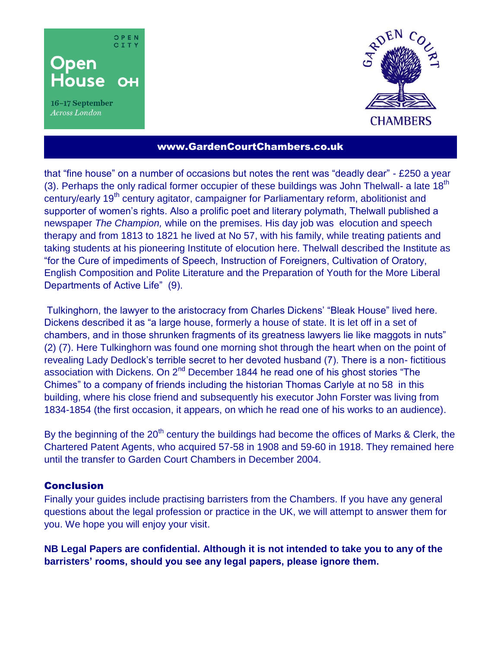

16-17 September Across London



## www.GardenCourtChambers.co.uk

that "fine house" on a number of occasions but notes the rent was "deadly dear" - £250 a year (3). Perhaps the only radical former occupier of these buildings was John Thelwall- a late  $18<sup>th</sup>$ century/early 19<sup>th</sup> century agitator, campaigner for Parliamentary reform, abolitionist and supporter of women's rights. Also a prolific poet and literary polymath, Thelwall published a newspaper *The Champion,* while on the premises. His day job was elocution and speech therapy and from 1813 to 1821 he lived at No 57, with his family, while treating patients and taking students at his pioneering Institute of elocution here. Thelwall described the Institute as "for the Cure of impediments of Speech, Instruction of Foreigners, Cultivation of Oratory, English Composition and Polite Literature and the Preparation of Youth for the More Liberal Departments of Active Life" (9).

Tulkinghorn, the lawyer to the aristocracy from Charles Dickens' "Bleak House" lived here. Dickens described it as "a large house, formerly a house of state. It is let off in a set of chambers, and in those shrunken fragments of its greatness lawyers lie like maggots in nuts" (2) (7). Here Tulkinghorn was found one morning shot through the heart when on the point of revealing Lady Dedlock's terrible secret to her devoted husband (7). There is a non- fictitious association with Dickens. On 2<sup>nd</sup> December 1844 he read one of his ghost stories "The Chimes" to a company of friends including the historian Thomas Carlyle at no 58 in this building, where his close friend and subsequently his executor John Forster was living from 1834-1854 (the first occasion, it appears, on which he read one of his works to an audience).

By the beginning of the  $20<sup>th</sup>$  century the buildings had become the offices of Marks & Clerk, the Chartered Patent Agents, who acquired 57-58 in 1908 and 59-60 in 1918. They remained here until the transfer to Garden Court Chambers in December 2004.

### **Conclusion**

Finally your guides include practising barristers from the Chambers. If you have any general questions about the legal profession or practice in the UK, we will attempt to answer them for you. We hope you will enjoy your visit.

**NB Legal Papers are confidential. Although it is not intended to take you to any of the barristers' rooms, should you see any legal papers, please ignore them.**